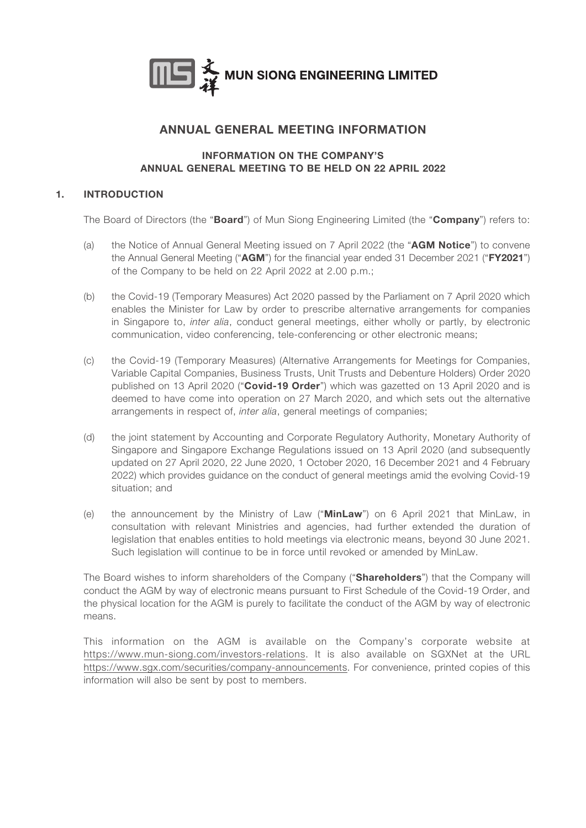

# ANNUAL GENERAL MEETING INFORMATION

#### INFORMATION ON THE COMPANY'S ANNUAL GENERAL MEETING TO BE HELD ON 22 APRIL 2022

# 1. INTRODUCTION

The Board of Directors (the "Board") of Mun Siong Engineering Limited (the "Company") refers to:

- (a) the Notice of Annual General Meeting issued on 7 April 2022 (the "AGM Notice") to convene the Annual General Meeting ("AGM") for the financial year ended 31 December 2021 ("FY2021") of the Company to be held on 22 April 2022 at 2.00 p.m.;
- (b) the Covid-19 (Temporary Measures) Act 2020 passed by the Parliament on 7 April 2020 which enables the Minister for Law by order to prescribe alternative arrangements for companies in Singapore to, *inter alia*, conduct general meetings, either wholly or partly, by electronic communication, video conferencing, tele-conferencing or other electronic means;
- (c) the Covid-19 (Temporary Measures) (Alternative Arrangements for Meetings for Companies, Variable Capital Companies, Business Trusts, Unit Trusts and Debenture Holders) Order 2020 published on 13 April 2020 ("Covid-19 Order") which was gazetted on 13 April 2020 and is deemed to have come into operation on 27 March 2020, and which sets out the alternative arrangements in respect of, *inter alia*, general meetings of companies;
- (d) the joint statement by Accounting and Corporate Regulatory Authority, Monetary Authority of Singapore and Singapore Exchange Regulations issued on 13 April 2020 (and subsequently updated on 27 April 2020, 22 June 2020, 1 October 2020, 16 December 2021 and 4 February 2022) which provides guidance on the conduct of general meetings amid the evolving Covid-19 situation; and
- (e) the announcement by the Ministry of Law ("MinLaw") on 6 April 2021 that MinLaw, in consultation with relevant Ministries and agencies, had further extended the duration of legislation that enables entities to hold meetings via electronic means, beyond 30 June 2021. Such legislation will continue to be in force until revoked or amended by MinLaw.

The Board wishes to inform shareholders of the Company ("Shareholders") that the Company will conduct the AGM by way of electronic means pursuant to First Schedule of the Covid-19 Order, and the physical location for the AGM is purely to facilitate the conduct of the AGM by way of electronic means.

This information on the AGM is available on the Company's corporate website at https://www.mun-siong.com/investors-relations. It is also available on SGXNet at the URL https://www.sgx.com/securities/company-announcements. For convenience, printed copies of this information will also be sent by post to members.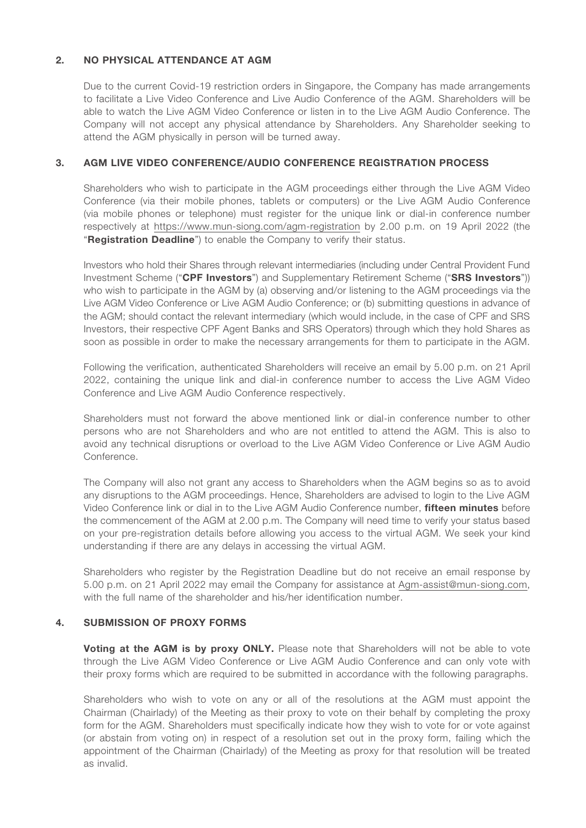# 2. NO PHYSICAL ATTENDANCE AT AGM

Due to the current Covid-19 restriction orders in Singapore, the Company has made arrangements to facilitate a Live Video Conference and Live Audio Conference of the AGM. Shareholders will be able to watch the Live AGM Video Conference or listen in to the Live AGM Audio Conference. The Company will not accept any physical attendance by Shareholders. Any Shareholder seeking to attend the AGM physically in person will be turned away.

#### 3. AGM LIVE VIDEO CONFERENCE/AUDIO CONFERENCE REGISTRATION PROCESS

Shareholders who wish to participate in the AGM proceedings either through the Live AGM Video Conference (via their mobile phones, tablets or computers) or the Live AGM Audio Conference (via mobile phones or telephone) must register for the unique link or dial-in conference number respectively at https://www.mun-siong.com/agm-registration by 2.00 p.m. on 19 April 2022 (the "Registration Deadline") to enable the Company to verify their status.

Investors who hold their Shares through relevant intermediaries (including under Central Provident Fund Investment Scheme ("CPF Investors") and Supplementary Retirement Scheme ("SRS Investors")) who wish to participate in the AGM by (a) observing and/or listening to the AGM proceedings via the Live AGM Video Conference or Live AGM Audio Conference; or (b) submitting questions in advance of the AGM; should contact the relevant intermediary (which would include, in the case of CPF and SRS Investors, their respective CPF Agent Banks and SRS Operators) through which they hold Shares as soon as possible in order to make the necessary arrangements for them to participate in the AGM.

Following the verification, authenticated Shareholders will receive an email by 5.00 p.m. on 21 April 2022, containing the unique link and dial-in conference number to access the Live AGM Video Conference and Live AGM Audio Conference respectively.

Shareholders must not forward the above mentioned link or dial-in conference number to other persons who are not Shareholders and who are not entitled to attend the AGM. This is also to avoid any technical disruptions or overload to the Live AGM Video Conference or Live AGM Audio Conference.

The Company will also not grant any access to Shareholders when the AGM begins so as to avoid any disruptions to the AGM proceedings. Hence, Shareholders are advised to login to the Live AGM Video Conference link or dial in to the Live AGM Audio Conference number, fifteen minutes before the commencement of the AGM at 2.00 p.m. The Company will need time to verify your status based on your pre-registration details before allowing you access to the virtual AGM. We seek your kind understanding if there are any delays in accessing the virtual AGM.

Shareholders who register by the Registration Deadline but do not receive an email response by 5.00 p.m. on 21 April 2022 may email the Company for assistance at Agm-assist@mun-siong.com, with the full name of the shareholder and his/her identification number.

#### 4. SUBMISSION OF PROXY FORMS

Voting at the AGM is by proxy ONLY. Please note that Shareholders will not be able to vote through the Live AGM Video Conference or Live AGM Audio Conference and can only vote with their proxy forms which are required to be submitted in accordance with the following paragraphs.

Shareholders who wish to vote on any or all of the resolutions at the AGM must appoint the Chairman (Chairlady) of the Meeting as their proxy to vote on their behalf by completing the proxy form for the AGM. Shareholders must specifically indicate how they wish to vote for or vote against (or abstain from voting on) in respect of a resolution set out in the proxy form, failing which the appointment of the Chairman (Chairlady) of the Meeting as proxy for that resolution will be treated as invalid.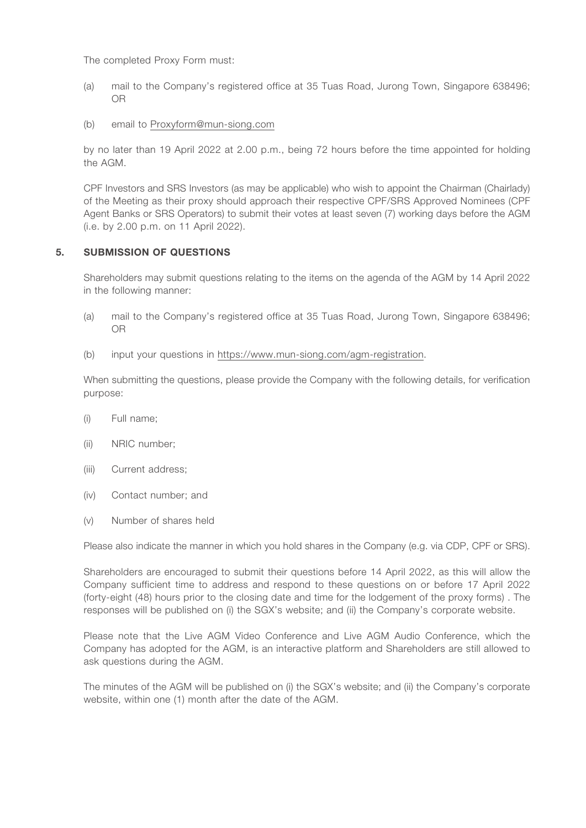The completed Proxy Form must:

- (a) mail to the Company's registered office at 35 Tuas Road, Jurong Town, Singapore 638496; OR
- (b) email to Proxyform@mun-siong.com

by no later than 19 April 2022 at 2.00 p.m., being 72 hours before the time appointed for holding the AGM.

CPF Investors and SRS Investors (as may be applicable) who wish to appoint the Chairman (Chairlady) of the Meeting as their proxy should approach their respective CPF/SRS Approved Nominees (CPF Agent Banks or SRS Operators) to submit their votes at least seven (7) working days before the AGM (i.e. by 2.00 p.m. on 11 April 2022).

# 5. SUBMISSION OF QUESTIONS

Shareholders may submit questions relating to the items on the agenda of the AGM by 14 April 2022 in the following manner:

- (a) mail to the Company's registered office at 35 Tuas Road, Jurong Town, Singapore 638496; OR
- (b) input your questions in https://www.mun-siong.com/agm-registration.

When submitting the questions, please provide the Company with the following details, for verification purpose:

- (i) Full name;
- (ii) NRIC number;
- (iii) Current address;
- (iv) Contact number; and
- (v) Number of shares held

Please also indicate the manner in which you hold shares in the Company (e.g. via CDP, CPF or SRS).

Shareholders are encouraged to submit their questions before 14 April 2022, as this will allow the Company sufficient time to address and respond to these questions on or before 17 April 2022 (forty-eight (48) hours prior to the closing date and time for the lodgement of the proxy forms) . The responses will be published on (i) the SGX's website; and (ii) the Company's corporate website.

Please note that the Live AGM Video Conference and Live AGM Audio Conference, which the Company has adopted for the AGM, is an interactive platform and Shareholders are still allowed to ask questions during the AGM.

The minutes of the AGM will be published on (i) the SGX's website; and (ii) the Company's corporate website, within one (1) month after the date of the AGM.